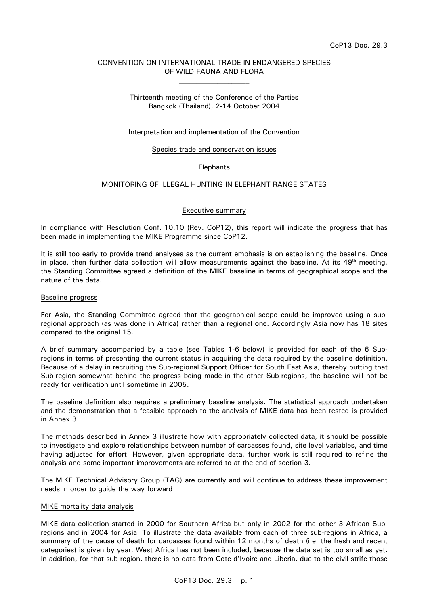# CONVENTION ON INTERNATIONAL TRADE IN ENDANGERED SPECIES OF WILD FAUNA AND FLORA  $\mathcal{L}_\text{max}$

# Thirteenth meeting of the Conference of the Parties Bangkok (Thailand), 2-14 October 2004

# Interpretation and implementation of the Convention

#### Species trade and conservation issues

### **Elephants**

# MONITORING OF ILLEGAL HUNTING IN ELEPHANT RANGE STATES

#### Executive summary

In compliance with Resolution Conf. 10.10 (Rev. CoP12), this report will indicate the progress that has been made in implementing the MIKE Programme since CoP12.

It is still too early to provide trend analyses as the current emphasis is on establishing the baseline. Once in place, then further data collection will allow measurements against the baseline. At its  $49<sup>th</sup>$  meeting, the Standing Committee agreed a definition of the MIKE baseline in terms of geographical scope and the nature of the data.

#### Baseline progress

For Asia, the Standing Committee agreed that the geographical scope could be improved using a subregional approach (as was done in Africa) rather than a regional one. Accordingly Asia now has 18 sites compared to the original 15.

A brief summary accompanied by a table (see Tables 1-6 below) is provided for each of the 6 Subregions in terms of presenting the current status in acquiring the data required by the baseline definition. Because of a delay in recruiting the Sub-regional Support Officer for South East Asia, thereby putting that Sub-region somewhat behind the progress being made in the other Sub-regions, the baseline will not be ready for verification until sometime in 2005.

The baseline definition also requires a preliminary baseline analysis. The statistical approach undertaken and the demonstration that a feasible approach to the analysis of MIKE data has been tested is provided in Annex 3

The methods described in Annex 3 illustrate how with appropriately collected data, it should be possible to investigate and explore relationships between number of carcasses found, site level variables, and time having adjusted for effort. However, given appropriate data, further work is still required to refine the analysis and some important improvements are referred to at the end of section 3.

The MIKE Technical Advisory Group (TAG) are currently and will continue to address these improvement needs in order to guide the way forward

#### MIKE mortality data analysis

MIKE data collection started in 2000 for Southern Africa but only in 2002 for the other 3 African Subregions and in 2004 for Asia. To illustrate the data available from each of three sub-regions in Africa, a summary of the cause of death for carcasses found within 12 months of death (i.e. the fresh and recent categories) is given by year. West Africa has not been included, because the data set is too small as yet. In addition, for that sub-region, there is no data from Cote d'Ivoire and Liberia, due to the civil strife those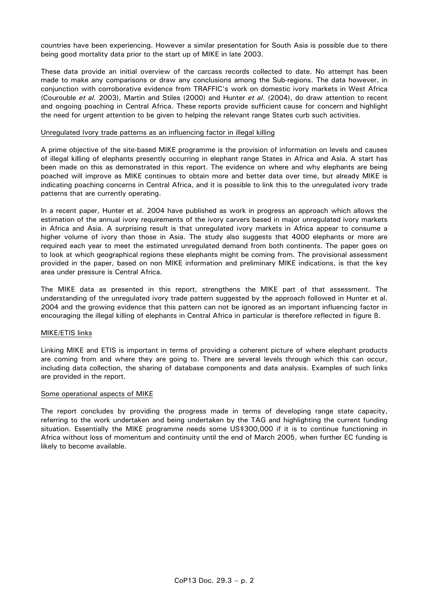countries have been experiencing. However a similar presentation for South Asia is possible due to there being good mortality data prior to the start up of MIKE in late 2003.

These data provide an initial overview of the carcass records collected to date. No attempt has been made to make any comparisons or draw any conclusions among the Sub-regions. The data however, in conjunction with corroborative evidence from TRAFFIC's work on domestic ivory markets in West Africa (Courouble *et al.* 2003), Martin and Stiles (2000) and Hunter *et al*. (2004), do draw attention to recent and ongoing poaching in Central Africa. These reports provide sufficient cause for concern and highlight the need for urgent attention to be given to helping the relevant range States curb such activities.

## Unregulated Ivory trade patterns as an influencing factor in illegal killing

A prime objective of the site-based MIKE programme is the provision of information on levels and causes of illegal killing of elephants presently occurring in elephant range States in Africa and Asia. A start has been made on this as demonstrated in this report. The evidence on where and why elephants are being poached will improve as MIKE continues to obtain more and better data over time, but already MIKE is indicating poaching concerns in Central Africa, and it is possible to link this to the unregulated ivory trade patterns that are currently operating.

In a recent paper, Hunter et al. 2004 have published as work in progress an approach which allows the estimation of the annual ivory requirements of the ivory carvers based in major unregulated ivory markets in Africa and Asia. A surprising result is that unregulated ivory markets in Africa appear to consume a higher volume of ivory than those in Asia. The study also suggests that 4000 elephants or more are required each year to meet the estimated unregulated demand from both continents. The paper goes on to look at which geographical regions these elephants might be coming from. The provisional assessment provided in the paper, based on non MIKE information and preliminary MIKE indications, is that the key area under pressure is Central Africa.

The MIKE data as presented in this report, strengthens the MIKE part of that assessment. The understanding of the unregulated ivory trade pattern suggested by the approach followed in Hunter et al. 2004 and the growing evidence that this pattern can not be ignored as an important influencing factor in encouraging the illegal killing of elephants in Central Africa in particular is therefore reflected in figure 8.

## MIKE/ETIS links

Linking MIKE and ETIS is important in terms of providing a coherent picture of where elephant products are coming from and where they are going to. There are several levels through which this can occur, including data collection, the sharing of database components and data analysis. Examples of such links are provided in the report.

# Some operational aspects of MIKE

The report concludes by providing the progress made in terms of developing range state capacity, referring to the work undertaken and being undertaken by the TAG and highlighting the current funding situation. Essentially the MIKE programme needs some US\$300,000 if it is to continue functioning in Africa without loss of momentum and continuity until the end of March 2005, when further EC funding is likely to become available.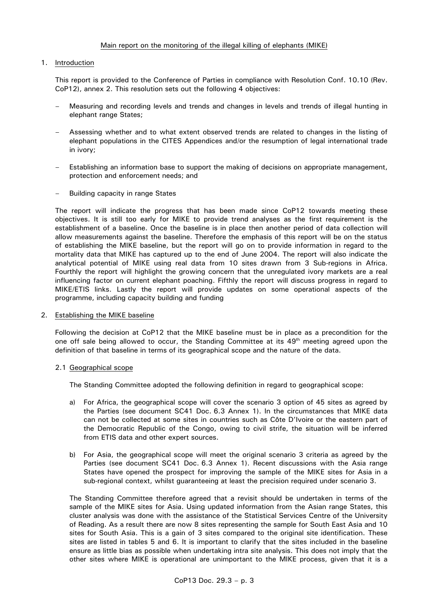# Main report on the monitoring of the illegal killing of elephants (MIKE)

# 1. Introduction

 This report is provided to the Conference of Parties in compliance with Resolution Conf. 10.10 (Rev. CoP12), annex 2. This resolution sets out the following 4 objectives:

- Measuring and recording levels and trends and changes in levels and trends of illegal hunting in elephant range States;
- Assessing whether and to what extent observed trends are related to changes in the listing of elephant populations in the CITES Appendices and/or the resumption of legal international trade in ivory;
- Establishing an information base to support the making of decisions on appropriate management, protection and enforcement needs; and
- Building capacity in range States

 The report will indicate the progress that has been made since CoP12 towards meeting these objectives. It is still too early for MIKE to provide trend analyses as the first requirement is the establishment of a baseline. Once the baseline is in place then another period of data collection will allow measurements against the baseline. Therefore the emphasis of this report will be on the status of establishing the MIKE baseline, but the report will go on to provide information in regard to the mortality data that MIKE has captured up to the end of June 2004. The report will also indicate the analytical potential of MIKE using real data from 10 sites drawn from 3 Sub-regions in Africa. Fourthly the report will highlight the growing concern that the unregulated ivory markets are a real influencing factor on current elephant poaching. Fifthly the report will discuss progress in regard to MIKE/ETIS links. Lastly the report will provide updates on some operational aspects of the programme, including capacity building and funding

2. Establishing the MIKE baseline

 Following the decision at CoP12 that the MIKE baseline must be in place as a precondition for the one off sale being allowed to occur, the Standing Committee at its  $49<sup>th</sup>$  meeting agreed upon the definition of that baseline in terms of its geographical scope and the nature of the data.

# 2.1 Geographical scope

The Standing Committee adopted the following definition in regard to geographical scope:

- a) For Africa, the geographical scope will cover the scenario 3 option of 45 sites as agreed by the Parties (see document SC41 Doc. 6.3 Annex 1). In the circumstances that MIKE data can not be collected at some sites in countries such as Côte D'Ivoire or the eastern part of the Democratic Republic of the Congo, owing to civil strife, the situation will be inferred from ETIS data and other expert sources.
- b) For Asia, the geographical scope will meet the original scenario 3 criteria as agreed by the Parties (see document SC41 Doc. 6.3 Annex 1). Recent discussions with the Asia range States have opened the prospect for improving the sample of the MIKE sites for Asia in a sub-regional context, whilst guaranteeing at least the precision required under scenario 3.

 The Standing Committee therefore agreed that a revisit should be undertaken in terms of the sample of the MIKE sites for Asia. Using updated information from the Asian range States, this cluster analysis was done with the assistance of the Statistical Services Centre of the University of Reading. As a result there are now 8 sites representing the sample for South East Asia and 10 sites for South Asia. This is a gain of 3 sites compared to the original site identification. These sites are listed in tables 5 and 6. It is important to clarify that the sites included in the baseline ensure as little bias as possible when undertaking intra site analysis. This does not imply that the other sites where MIKE is operational are unimportant to the MIKE process, given that it is a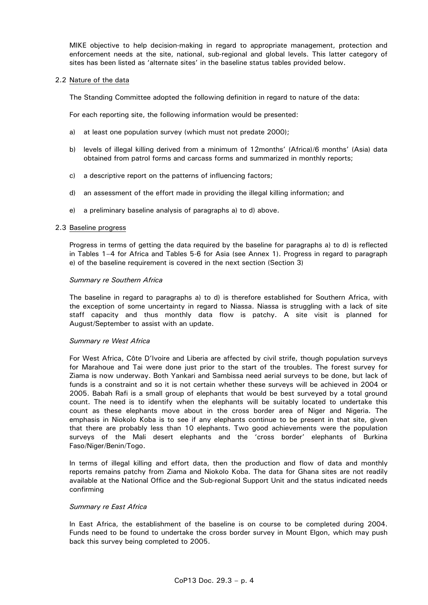MIKE objective to help decision-making in regard to appropriate management, protection and enforcement needs at the site, national, sub-regional and global levels. This latter category of sites has been listed as 'alternate sites' in the baseline status tables provided below.

# 2.2 Nature of the data

The Standing Committee adopted the following definition in regard to nature of the data:

For each reporting site, the following information would be presented:

- a) at least one population survey (which must not predate 2000);
- b) levels of illegal killing derived from a minimum of 12months' (Africa)/6 months' (Asia) data obtained from patrol forms and carcass forms and summarized in monthly reports;
- c) a descriptive report on the patterns of influencing factors;
- d) an assessment of the effort made in providing the illegal killing information; and
- e) a preliminary baseline analysis of paragraphs a) to d) above.

#### 2.3 Baseline progress

 Progress in terms of getting the data required by the baseline for paragraphs a) to d) is reflected in Tables 1–4 for Africa and Tables 5-6 for Asia (see Annex 1). Progress in regard to paragraph e) of the baseline requirement is covered in the next section (Section 3)

### *Summary re Southern Africa*

 The baseline in regard to paragraphs a) to d) is therefore established for Southern Africa, with the exception of some uncertainty in regard to Niassa. Niassa is struggling with a lack of site staff capacity and thus monthly data flow is patchy. A site visit is planned for August/September to assist with an update.

#### *Summary re West Africa*

 For West Africa, Côte D'Ivoire and Liberia are affected by civil strife, though population surveys for Marahoue and Tai were done just prior to the start of the troubles. The forest survey for Ziama is now underway. Both Yankari and Sambissa need aerial surveys to be done, but lack of funds is a constraint and so it is not certain whether these surveys will be achieved in 2004 or 2005. Babah Rafi is a small group of elephants that would be best surveyed by a total ground count. The need is to identify when the elephants will be suitably located to undertake this count as these elephants move about in the cross border area of Niger and Nigeria. The emphasis in Niokolo Koba is to see if any elephants continue to be present in that site, given that there are probably less than 10 elephants. Two good achievements were the population surveys of the Mali desert elephants and the 'cross border' elephants of Burkina Faso/Niger/Benin/Togo.

 In terms of illegal killing and effort data, then the production and flow of data and monthly reports remains patchy from Ziama and Niokolo Koba. The data for Ghana sites are not readily available at the National Office and the Sub-regional Support Unit and the status indicated needs confirming

#### *Summary re East Africa*

 In East Africa, the establishment of the baseline is on course to be completed during 2004. Funds need to be found to undertake the cross border survey in Mount Elgon, which may push back this survey being completed to 2005.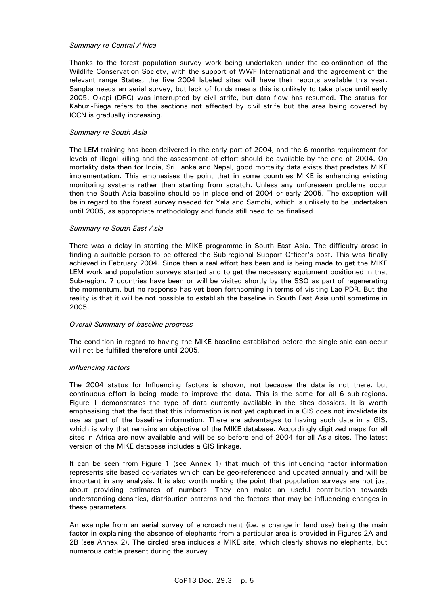## *Summary re Central Africa*

 Thanks to the forest population survey work being undertaken under the co-ordination of the Wildlife Conservation Society, with the support of WWF International and the agreement of the relevant range States, the five 2004 labeled sites will have their reports available this year. Sangba needs an aerial survey, but lack of funds means this is unlikely to take place until early 2005. Okapi (DRC) was interrupted by civil strife, but data flow has resumed. The status for Kahuzi-Biega refers to the sections not affected by civil strife but the area being covered by ICCN is gradually increasing.

### *Summary re South Asia*

 The LEM training has been delivered in the early part of 2004, and the 6 months requirement for levels of illegal killing and the assessment of effort should be available by the end of 2004. On mortality data then for India, Sri Lanka and Nepal, good mortality data exists that predates MIKE implementation. This emphasises the point that in some countries MIKE is enhancing existing monitoring systems rather than starting from scratch. Unless any unforeseen problems occur then the South Asia baseline should be in place end of 2004 or early 2005. The exception will be in regard to the forest survey needed for Yala and Samchi, which is unlikely to be undertaken until 2005, as appropriate methodology and funds still need to be finalised

### *Summary re South East Asia*

 There was a delay in starting the MIKE programme in South East Asia. The difficulty arose in finding a suitable person to be offered the Sub-regional Support Officer's post. This was finally achieved in February 2004. Since then a real effort has been and is being made to get the MIKE LEM work and population surveys started and to get the necessary equipment positioned in that Sub-region. 7 countries have been or will be visited shortly by the SSO as part of regenerating the momentum, but no response has yet been forthcoming in terms of visiting Lao PDR. But the reality is that it will be not possible to establish the baseline in South East Asia until sometime in 2005.

#### *Overall Summary of baseline progress*

 The condition in regard to having the MIKE baseline established before the single sale can occur will not be fulfilled therefore until 2005.

# *Influencing factors*

 The 2004 status for Influencing factors is shown, not because the data is not there, but continuous effort is being made to improve the data. This is the same for all 6 sub-regions. Figure 1 demonstrates the type of data currently available in the sites dossiers. It is worth emphasising that the fact that this information is not yet captured in a GIS does not invalidate its use as part of the baseline information. There are advantages to having such data in a GIS, which is why that remains an objective of the MIKE database. Accordingly digitized maps for all sites in Africa are now available and will be so before end of 2004 for all Asia sites. The latest version of the MIKE database includes a GIS linkage.

 It can be seen from Figure 1 (see Annex 1) that much of this influencing factor information represents site based co-variates which can be geo-referenced and updated annually and will be important in any analysis. It is also worth making the point that population surveys are not just about providing estimates of numbers. They can make an useful contribution towards understanding densities, distribution patterns and the factors that may be influencing changes in these parameters.

 An example from an aerial survey of encroachment (i.e. a change in land use) being the main factor in explaining the absence of elephants from a particular area is provided in Figures 2A and 2B (see Annex 2). The circled area includes a MIKE site, which clearly shows no elephants, but numerous cattle present during the survey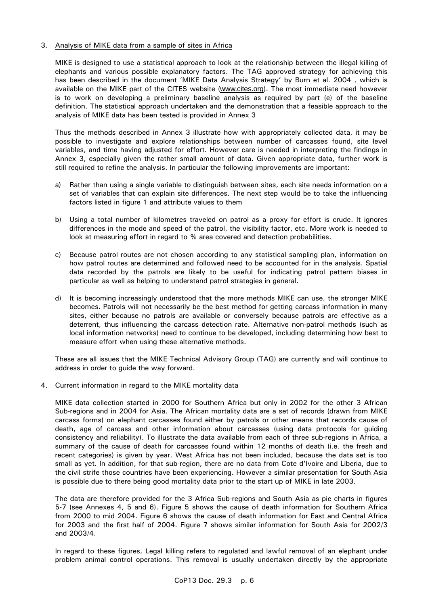# 3. Analysis of MIKE data from a sample of sites in Africa

 MIKE is designed to use a statistical approach to look at the relationship between the illegal killing of elephants and various possible explanatory factors. The TAG approved strategy for achieving this has been described in the document 'MIKE Data Analysis Strategy' by Burn et al. 2004 , which is available on the MIKE part of the CITES website (www.cites.org). The most immediate need however is to work on developing a preliminary baseline analysis as required by part (e) of the baseline definition. The statistical approach undertaken and the demonstration that a feasible approach to the analysis of MIKE data has been tested is provided in Annex 3

 Thus the methods described in Annex 3 illustrate how with appropriately collected data, it may be possible to investigate and explore relationships between number of carcasses found, site level variables, and time having adjusted for effort. However care is needed in interpreting the findings in Annex 3, especially given the rather small amount of data. Given appropriate data, further work is still required to refine the analysis. In particular the following improvements are important:

- a) Rather than using a single variable to distinguish between sites, each site needs information on a set of variables that can explain site differences. The next step would be to take the influencing factors listed in figure 1 and attribute values to them
- b) Using a total number of kilometres traveled on patrol as a proxy for effort is crude. It ignores differences in the mode and speed of the patrol, the visibility factor, etc. More work is needed to look at measuring effort in regard to % area covered and detection probabilities.
- c) Because patrol routes are not chosen according to any statistical sampling plan, information on how patrol routes are determined and followed need to be accounted for in the analysis. Spatial data recorded by the patrols are likely to be useful for indicating patrol pattern biases in particular as well as helping to understand patrol strategies in general.
- d) It is becoming increasingly understood that the more methods MIKE can use, the stronger MIKE becomes. Patrols will not necessarily be the best method for getting carcass information in many sites, either because no patrols are available or conversely because patrols are effective as a deterrent, thus influencing the carcass detection rate. Alternative non-patrol methods (such as local information networks) need to continue to be developed, including determining how best to measure effort when using these alternative methods.

 These are all issues that the MIKE Technical Advisory Group (TAG) are currently and will continue to address in order to guide the way forward.

# 4. Current information in regard to the MIKE mortality data

 MIKE data collection started in 2000 for Southern Africa but only in 2002 for the other 3 African Sub-regions and in 2004 for Asia. The African mortality data are a set of records (drawn from MIKE carcass forms) on elephant carcasses found either by patrols or other means that records cause of death, age of carcass and other information about carcasses (using data protocols for guiding consistency and reliability). To illustrate the data available from each of three sub-regions in Africa, a summary of the cause of death for carcasses found within 12 months of death (i.e. the fresh and recent categories) is given by year. West Africa has not been included, because the data set is too small as yet. In addition, for that sub-region, there are no data from Cote d'Ivoire and Liberia, due to the civil strife those countries have been experiencing. However a similar presentation for South Asia is possible due to there being good mortality data prior to the start up of MIKE in late 2003.

 The data are therefore provided for the 3 Africa Sub-regions and South Asia as pie charts in figures 5-7 (see Annexes 4, 5 and 6). Figure 5 shows the cause of death information for Southern Africa from 2000 to mid 2004. Figure 6 shows the cause of death information for East and Central Africa for 2003 and the first half of 2004. Figure 7 shows similar information for South Asia for 2002/3 and 2003/4.

 In regard to these figures, Legal killing refers to regulated and lawful removal of an elephant under problem animal control operations. This removal is usually undertaken directly by the appropriate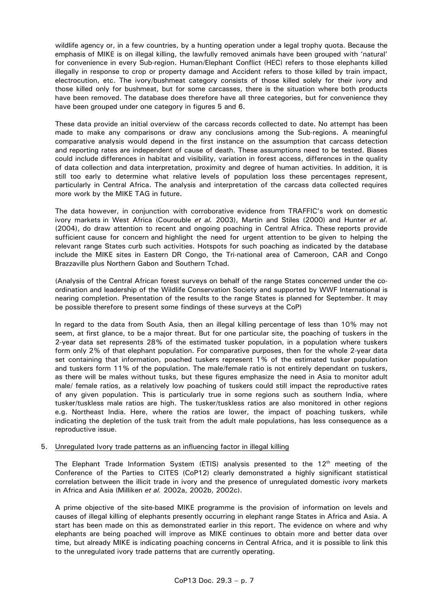wildlife agency or, in a few countries, by a hunting operation under a legal trophy quota. Because the emphasis of MIKE is on illegal killing, the lawfully removed animals have been grouped with 'natural' for convenience in every Sub-region. Human/Elephant Conflict (HEC) refers to those elephants killed illegally in response to crop or property damage and Accident refers to those killed by train impact, electrocution, etc. The ivory/bushmeat category consists of those killed solely for their ivory and those killed only for bushmeat, but for some carcasses, there is the situation where both products have been removed. The database does therefore have all three categories, but for convenience they have been grouped under one category in figures 5 and 6.

 These data provide an initial overview of the carcass records collected to date. No attempt has been made to make any comparisons or draw any conclusions among the Sub-regions. A meaningful comparative analysis would depend in the first instance on the assumption that carcass detection and reporting rates are independent of cause of death. These assumptions need to be tested. Biases could include differences in habitat and visibility, variation in forest access, differences in the quality of data collection and data interpretation, proximity and degree of human activities. In addition, it is still too early to determine what relative levels of population loss these percentages represent, particularly in Central Africa. The analysis and interpretation of the carcass data collected requires more work by the MIKE TAG in future.

 The data however, in conjunction with corroborative evidence from TRAFFIC's work on domestic ivory markets in West Africa (Courouble *et al.* 2003), Martin and Stiles (2000) and Hunter *et al*. (2004), do draw attention to recent and ongoing poaching in Central Africa. These reports provide sufficient cause for concern and highlight the need for urgent attention to be given to helping the relevant range States curb such activities. Hotspots for such poaching as indicated by the database include the MIKE sites in Eastern DR Congo, the Tri-national area of Cameroon, CAR and Congo Brazzaville plus Northern Gabon and Southern Tchad.

 (Analysis of the Central African forest surveys on behalf of the range States concerned under the coordination and leadership of the Wildlife Conservation Society and supported by WWF International is nearing completion. Presentation of the results to the range States is planned for September. It may be possible therefore to present some findings of these surveys at the CoP)

 In regard to the data from South Asia, then an illegal killing percentage of less than 10% may not seem, at first glance, to be a major threat. But for one particular site, the poaching of tuskers in the 2-year data set represents 28% of the estimated tusker population, in a population where tuskers form only 2% of that elephant population. For comparative purposes, then for the whole 2-year data set containing that information, poached tuskers represent 1% of the estimated tusker population and tuskers form 11% of the population. The male/female ratio is not entirely dependant on tuskers, as there will be males without tusks, but these figures emphasize the need in Asia to monitor adult male/ female ratios, as a relatively low poaching of tuskers could still impact the reproductive rates of any given population. This is particularly true in some regions such as southern India, where tusker/tuskless male ratios are high. The tusker/tuskless ratios are also monitored in other regions e.g. Northeast India. Here, where the ratios are lower, the impact of poaching tuskers, while indicating the depletion of the tusk trait from the adult male populations, has less consequence as a reproductive issue.

# 5. Unregulated Ivory trade patterns as an influencing factor in illegal killing

The Elephant Trade Information System (ETIS) analysis presented to the  $12<sup>th</sup>$  meeting of the Conference of the Parties to CITES (CoP12) clearly demonstrated a highly significant statistical correlation between the illicit trade in ivory and the presence of unregulated domestic ivory markets in Africa and Asia (Milliken *et al.* 2002a, 2002b, 2002c).

 A prime objective of the site-based MIKE programme is the provision of information on levels and causes of illegal killing of elephants presently occurring in elephant range States in Africa and Asia. A start has been made on this as demonstrated earlier in this report. The evidence on where and why elephants are being poached will improve as MIKE continues to obtain more and better data over time, but already MIKE is indicating poaching concerns in Central Africa, and it is possible to link this to the unregulated ivory trade patterns that are currently operating.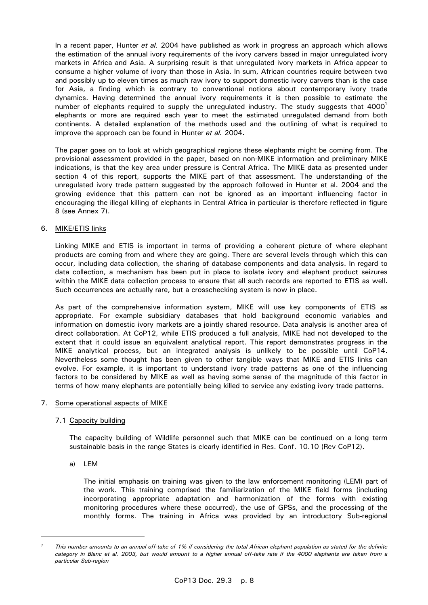In a recent paper, Hunter *et al.* 2004 have published as work in progress an approach which allows the estimation of the annual ivory requirements of the ivory carvers based in major unregulated ivory markets in Africa and Asia. A surprising result is that unregulated ivory markets in Africa appear to consume a higher volume of ivory than those in Asia. In sum, African countries require between two and possibly up to eleven times as much raw ivory to support domestic ivory carvers than is the case for Asia, a finding which is contrary to conventional notions about contemporary ivory trade dynamics. Having determined the annual ivory requirements it is then possible to estimate the number of elephants required to supply the unregulated industry. The study suggests that  $4000<sup>1</sup>$ elephants or more are required each year to meet the estimated unregulated demand from both continents. A detailed explanation of the methods used and the outlining of what is required to improve the approach can be found in Hunter *et al.* 2004.

 The paper goes on to look at which geographical regions these elephants might be coming from. The provisional assessment provided in the paper, based on non-MIKE information and preliminary MIKE indications, is that the key area under pressure is Central Africa. The MIKE data as presented under section 4 of this report, supports the MIKE part of that assessment. The understanding of the unregulated ivory trade pattern suggested by the approach followed in Hunter et al. 2004 and the growing evidence that this pattern can not be ignored as an important influencing factor in encouraging the illegal killing of elephants in Central Africa in particular is therefore reflected in figure 8 (see Annex 7).

# 6. MIKE/ETIS links

 Linking MIKE and ETIS is important in terms of providing a coherent picture of where elephant products are coming from and where they are going. There are several levels through which this can occur, including data collection, the sharing of database components and data analysis. In regard to data collection, a mechanism has been put in place to isolate ivory and elephant product seizures within the MIKE data collection process to ensure that all such records are reported to ETIS as well. Such occurrences are actually rare, but a crosschecking system is now in place.

 As part of the comprehensive information system, MIKE will use key components of ETIS as appropriate. For example subsidiary databases that hold background economic variables and information on domestic ivory markets are a jointly shared resource. Data analysis is another area of direct collaboration. At CoP12, while ETIS produced a full analysis, MIKE had not developed to the extent that it could issue an equivalent analytical report. This report demonstrates progress in the MIKE analytical process, but an integrated analysis is unlikely to be possible until CoP14. Nevertheless some thought has been given to other tangible ways that MIKE and ETIS links can evolve. For example, it is important to understand ivory trade patterns as one of the influencing factors to be considered by MIKE as well as having some sense of the magnitude of this factor in terms of how many elephants are potentially being killed to service any existing ivory trade patterns.

# 7. Some operational aspects of MIKE

# 7.1 Capacity building

 The capacity building of Wildlife personnel such that MIKE can be continued on a long term sustainable basis in the range States is clearly identified in Res. Conf. 10.10 (Rev CoP12).

a) LEM

 The initial emphasis on training was given to the law enforcement monitoring (LEM) part of the work. This training comprised the familiarization of the MIKE field forms (including incorporating appropriate adaptation and harmonization of the forms with existing monitoring procedures where these occurred), the use of GPSs, and the processing of the monthly forms. The training in Africa was provided by an introductory Sub-regional

*<sup>1</sup> This number amounts to an annual off-take of 1% if considering the total African elephant population as stated for the definite category in Blanc et al. 2003, but would amount to a higher annual off-take rate if the 4000 elephants are taken from a particular Sub-region*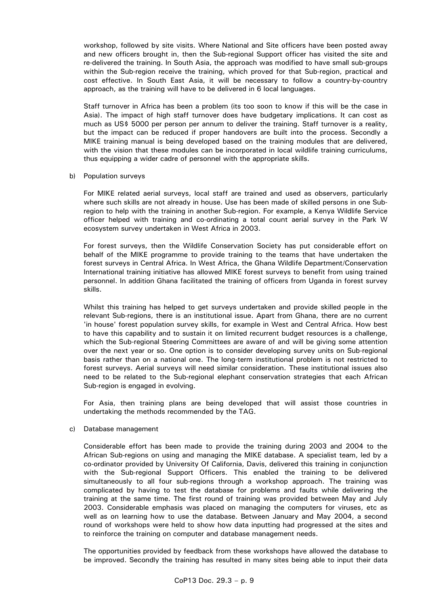workshop, followed by site visits. Where National and Site officers have been posted away and new officers brought in, then the Sub-regional Support officer has visited the site and re-delivered the training. In South Asia, the approach was modified to have small sub-groups within the Sub-region receive the training, which proved for that Sub-region, practical and cost effective. In South East Asia, it will be necessary to follow a country-by-country approach, as the training will have to be delivered in 6 local languages.

 Staff turnover in Africa has been a problem (its too soon to know if this will be the case in Asia). The impact of high staff turnover does have budgetary implications. It can cost as much as US\$ 5000 per person per annum to deliver the training. Staff turnover is a reality, but the impact can be reduced if proper handovers are built into the process. Secondly a MIKE training manual is being developed based on the training modules that are delivered, with the vision that these modules can be incorporated in local wildlife training curriculums, thus equipping a wider cadre of personnel with the appropriate skills.

### b) Population surveys

 For MIKE related aerial surveys, local staff are trained and used as observers, particularly where such skills are not already in house. Use has been made of skilled persons in one Subregion to help with the training in another Sub-region. For example, a Kenya Wildlife Service officer helped with training and co-ordinating a total count aerial survey in the Park W ecosystem survey undertaken in West Africa in 2003.

 For forest surveys, then the Wildlife Conservation Society has put considerable effort on behalf of the MIKE programme to provide training to the teams that have undertaken the forest surveys in Central Africa. In West Africa, the Ghana Wildlife Department/Conservation International training initiative has allowed MIKE forest surveys to benefit from using trained personnel. In addition Ghana facilitated the training of officers from Uganda in forest survey skills.

 Whilst this training has helped to get surveys undertaken and provide skilled people in the relevant Sub-regions, there is an institutional issue. Apart from Ghana, there are no current 'in house' forest population survey skills, for example in West and Central Africa. How best to have this capability and to sustain it on limited recurrent budget resources is a challenge, which the Sub-regional Steering Committees are aware of and will be giving some attention over the next year or so. One option is to consider developing survey units on Sub-regional basis rather than on a national one. The long-term institutional problem is not restricted to forest surveys. Aerial surveys will need similar consideration. These institutional issues also need to be related to the Sub-regional elephant conservation strategies that each African Sub-region is engaged in evolving.

 For Asia, then training plans are being developed that will assist those countries in undertaking the methods recommended by the TAG.

# c) Database management

 Considerable effort has been made to provide the training during 2003 and 2004 to the African Sub-regions on using and managing the MIKE database. A specialist team, led by a co-ordinator provided by University Of California, Davis, delivered this training in conjunction with the Sub-regional Support Officers. This enabled the training to be delivered simultaneously to all four sub-regions through a workshop approach. The training was complicated by having to test the database for problems and faults while delivering the training at the same time. The first round of training was provided between May and July 2003. Considerable emphasis was placed on managing the computers for viruses, etc as well as on learning how to use the database. Between January and May 2004, a second round of workshops were held to show how data inputting had progressed at the sites and to reinforce the training on computer and database management needs.

 The opportunities provided by feedback from these workshops have allowed the database to be improved. Secondly the training has resulted in many sites being able to input their data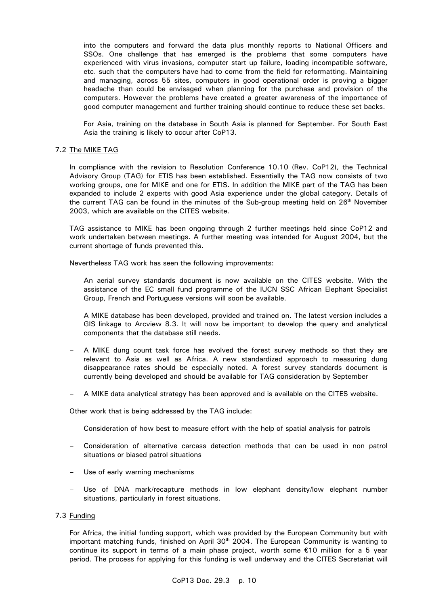into the computers and forward the data plus monthly reports to National Officers and SSOs. One challenge that has emerged is the problems that some computers have experienced with virus invasions, computer start up failure, loading incompatible software, etc. such that the computers have had to come from the field for reformatting. Maintaining and managing, across 55 sites, computers in good operational order is proving a bigger headache than could be envisaged when planning for the purchase and provision of the computers. However the problems have created a greater awareness of the importance of good computer management and further training should continue to reduce these set backs.

 For Asia, training on the database in South Asia is planned for September. For South East Asia the training is likely to occur after CoP13.

# 7.2 The MIKE TAG

 In compliance with the revision to Resolution Conference 10.10 (Rev. CoP12), the Technical Advisory Group (TAG) for ETIS has been established. Essentially the TAG now consists of two working groups, one for MIKE and one for ETIS. In addition the MIKE part of the TAG has been expanded to include 2 experts with good Asia experience under the global category. Details of the current TAG can be found in the minutes of the Sub-group meeting held on  $26<sup>th</sup>$  November 2003, which are available on the CITES website.

 TAG assistance to MIKE has been ongoing through 2 further meetings held since CoP12 and work undertaken between meetings. A further meeting was intended for August 2004, but the current shortage of funds prevented this.

Nevertheless TAG work has seen the following improvements:

- An aerial survey standards document is now available on the CITES website. With the assistance of the EC small fund programme of the IUCN SSC African Elephant Specialist Group, French and Portuguese versions will soon be available.
- A MIKE database has been developed, provided and trained on. The latest version includes a GIS linkage to Arcview 8.3. It will now be important to develop the query and analytical components that the database still needs.
- A MIKE dung count task force has evolved the forest survey methods so that they are relevant to Asia as well as Africa. A new standardized approach to measuring dung disappearance rates should be especially noted. A forest survey standards document is currently being developed and should be available for TAG consideration by September
- A MIKE data analytical strategy has been approved and is available on the CITES website.

Other work that is being addressed by the TAG include:

- Consideration of how best to measure effort with the help of spatial analysis for patrols
- Consideration of alternative carcass detection methods that can be used in non patrol situations or biased patrol situations
- Use of early warning mechanisms
- Use of DNA mark/recapture methods in low elephant density/low elephant number situations, particularly in forest situations.

# 7.3 Funding

 For Africa, the initial funding support, which was provided by the European Community but with important matching funds, finished on April 30<sup>th</sup> 2004. The European Community is wanting to continue its support in terms of a main phase project, worth some  $\epsilon$ 10 million for a 5 year period. The process for applying for this funding is well underway and the CITES Secretariat will